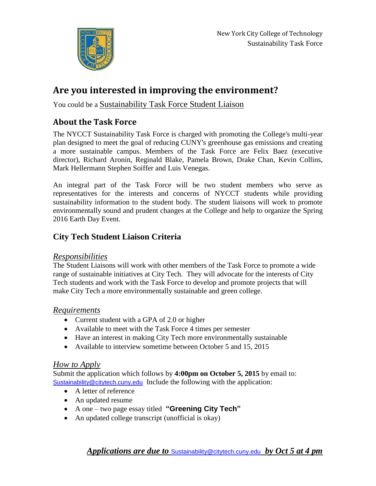

# **Are you interested in improving the environment?**

You could be a Sustainability Task Force Student Liaison

## **About the Task Force**

The NYCCT Sustainability Task Force is charged with promoting the College's multi-year plan designed to meet the goal of reducing CUNY's greenhouse gas emissions and creating a more sustainable campus. Members of the Task Force are Felix Baez (executive director), Richard Aronin, Reginald Blake, Pamela Brown, Drake Chan, Kevin Collins, Mark Hellermann Stephen Soiffer and Luis Venegas.

An integral part of the Task Force will be two student members who serve as representatives for the interests and concerns of NYCCT students while providing sustainability information to the student body. The student liaisons will work to promote environmentally sound and prudent changes at the College and help to organize the Spring 2016 Earth Day Event.

### **City Tech Student Liaison Criteria**

#### *Responsibilities*

The Student Liaisons will work with other members of the Task Force to promote a wide range of sustainable initiatives at City Tech. They will advocate for the interests of City Tech students and work with the Task Force to develop and promote projects that will make City Tech a more environmentally sustainable and green college.

#### *Requirements*

- Current student with a GPA of 2.0 or higher
- Available to meet with the Task Force 4 times per semester
- Have an interest in making City Tech more environmentally sustainable
- Available to interview sometime between October 5 and 15, 2015

#### *How to Apply*

Submit the application which follows by **4:00pm on October 5, 2015** by email to: [Sustainability@citytech.cuny.edu](mailto:Sustainability@citytech.cuny.edu) Include the following with the application:

- A letter of reference
- An updated resume
- A one two page essay titled **"Greening City Tech"**
- An updated college transcript (unofficial is okay)